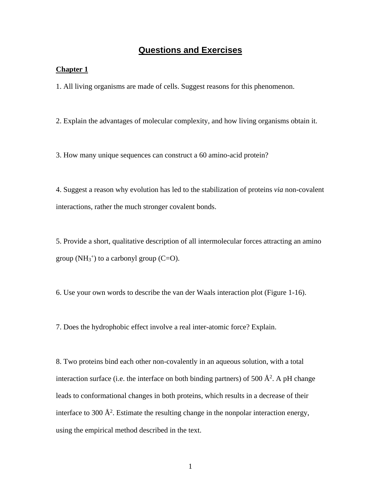# **Questions and Exercises**

### **Chapter 1**

1. All living organisms are made of cells. Suggest reasons for this phenomenon.

2. Explain the advantages of molecular complexity, and how living organisms obtain it.

3. How many unique sequences can construct a 60 amino-acid protein?

4. Suggest a reason why evolution has led to the stabilization of proteins *via* non-covalent interactions, rather the much stronger covalent bonds.

5. Provide a short, qualitative description of all intermolecular forces attracting an amino group  $(NH_3^+)$  to a carbonyl group  $(C=O)$ .

6. Use your own words to describe the van der Waals interaction plot (Figure 1-16).

7. Does the hydrophobic effect involve a real inter-atomic force? Explain.

8. Two proteins bind each other non-covalently in an aqueous solution, with a total interaction surface (i.e. the interface on both binding partners) of 500  $\AA^2$ . A pH change leads to conformational changes in both proteins, which results in a decrease of their interface to 300  $\AA^2$ . Estimate the resulting change in the nonpolar interaction energy, using the empirical method described in the text.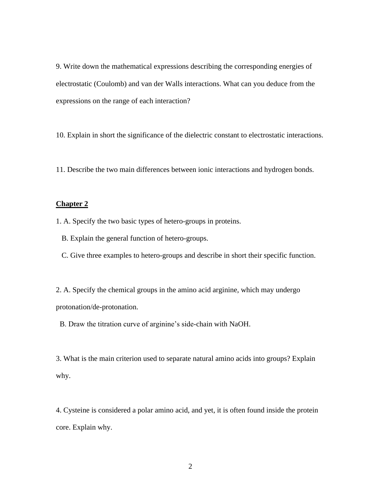9. Write down the mathematical expressions describing the corresponding energies of electrostatic (Coulomb) and van der Walls interactions. What can you deduce from the expressions on the range of each interaction?

10. Explain in short the significance of the dielectric constant to electrostatic interactions.

11. Describe the two main differences between ionic interactions and hydrogen bonds.

## **Chapter 2**

1. A. Specify the two basic types of hetero-groups in proteins.

B. Explain the general function of hetero-groups.

C. Give three examples to hetero-groups and describe in short their specific function.

2. A. Specify the chemical groups in the amino acid arginine, which may undergo protonation/de-protonation.

B. Draw the titration curve of arginine's side-chain with NaOH.

3. What is the main criterion used to separate natural amino acids into groups? Explain why.

4. Cysteine is considered a polar amino acid, and yet, it is often found inside the protein core. Explain why.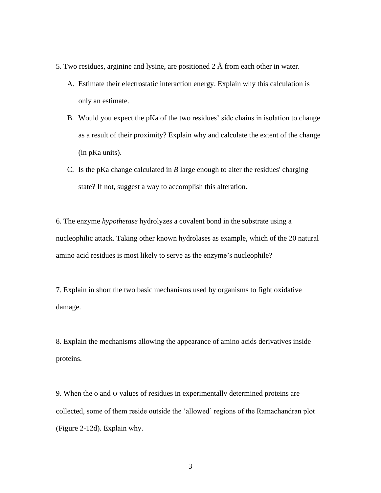- 5. Two residues, arginine and lysine, are positioned 2 Å from each other in water.
	- A. Estimate their electrostatic interaction energy. Explain why this calculation is only an estimate.
	- B. Would you expect the pKa of the two residues' side chains in isolation to change as a result of their proximity? Explain why and calculate the extent of the change (in pKa units).
	- C. Is the pKa change calculated in *B* large enough to alter the residues' charging state? If not, suggest a way to accomplish this alteration.

6. The enzyme *hypothetase* hydrolyzes a covalent bond in the substrate using a nucleophilic attack. Taking other known hydrolases as example, which of the 20 natural amino acid residues is most likely to serve as the enzyme's nucleophile?

7. Explain in short the two basic mechanisms used by organisms to fight oxidative damage.

8. Explain the mechanisms allowing the appearance of amino acids derivatives inside proteins.

9. When the  $\phi$  and  $\psi$  values of residues in experimentally determined proteins are collected, some of them reside outside the 'allowed' regions of the Ramachandran plot (Figure 2-12d). Explain why.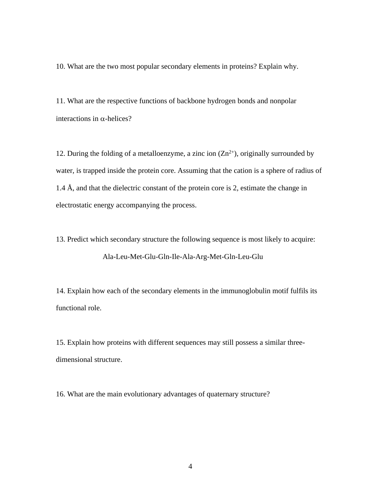10. What are the two most popular secondary elements in proteins? Explain why.

11. What are the respective functions of backbone hydrogen bonds and nonpolar interactions in  $\alpha$ -helices?

12. During the folding of a metalloenzyme, a zinc ion  $(Zn^{2+})$ , originally surrounded by water, is trapped inside the protein core. Assuming that the cation is a sphere of radius of 1.4 Å, and that the dielectric constant of the protein core is 2, estimate the change in electrostatic energy accompanying the process.

13. Predict which secondary structure the following sequence is most likely to acquire: Ala-Leu-Met-Glu-Gln-Ile-Ala-Arg-Met-Gln-Leu-Glu

14. Explain how each of the secondary elements in the immunoglobulin motif fulfils its functional role.

15. Explain how proteins with different sequences may still possess a similar threedimensional structure.

16. What are the main evolutionary advantages of quaternary structure?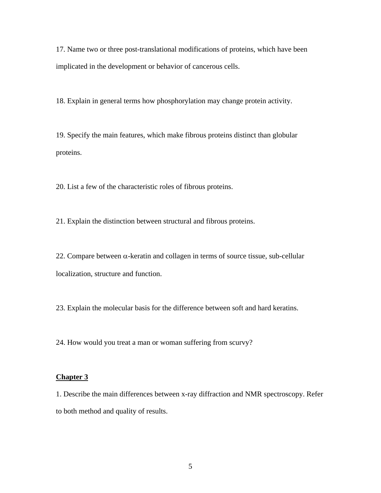17. Name two or three post-translational modifications of proteins, which have been implicated in the development or behavior of cancerous cells.

18. Explain in general terms how phosphorylation may change protein activity.

19. Specify the main features, which make fibrous proteins distinct than globular proteins.

20. List a few of the characteristic roles of fibrous proteins.

21. Explain the distinction between structural and fibrous proteins.

22. Compare between  $\alpha$ -keratin and collagen in terms of source tissue, sub-cellular localization, structure and function.

23. Explain the molecular basis for the difference between soft and hard keratins.

24. How would you treat a man or woman suffering from scurvy?

## **Chapter 3**

1. Describe the main differences between x-ray diffraction and NMR spectroscopy. Refer to both method and quality of results.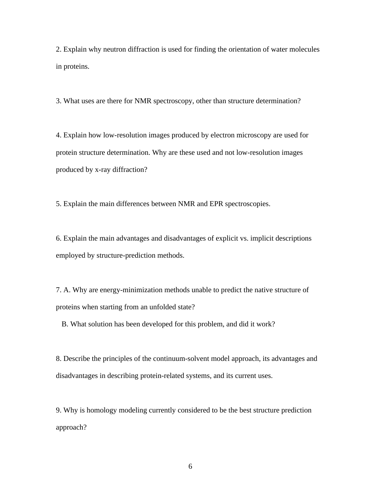2. Explain why neutron diffraction is used for finding the orientation of water molecules in proteins.

3. What uses are there for NMR spectroscopy, other than structure determination?

4. Explain how low-resolution images produced by electron microscopy are used for protein structure determination. Why are these used and not low-resolution images produced by x-ray diffraction?

5. Explain the main differences between NMR and EPR spectroscopies.

6. Explain the main advantages and disadvantages of explicit vs. implicit descriptions employed by structure-prediction methods.

7. A. Why are energy-minimization methods unable to predict the native structure of proteins when starting from an unfolded state?

B. What solution has been developed for this problem, and did it work?

8. Describe the principles of the continuum-solvent model approach, its advantages and disadvantages in describing protein-related systems, and its current uses.

9. Why is homology modeling currently considered to be the best structure prediction approach?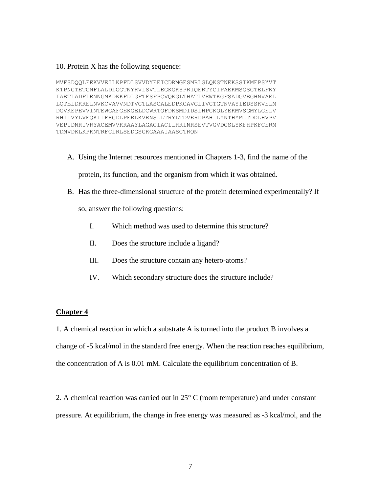#### 10. Protein X has the following sequence:

MVFSDQQLFEKVVEILKPFDLSVVDYEEICDRMGESMRLGLQKSTNEKSSIKMFPSYVT KTPNGTETGNFLALDLGGTNYRVLSVTLEGKGKSPRIQERTYCIPAEKMSGSGTELFKY IAETLADFLENNGMKDKKFDLGFTFSFPCVQKGLTHATLVRWTKGFSADGVEGHNVAEL LQTELDKRELNVKCVAVVNDTVGTLASCALEDPKCAVGLIVGTGTNVAYIEDSSKVELM DGVKEPEVVINTEWGAFGEKGELDCWRTQFDKSMDIDSLHPGKQLYEKMVSGMYLGELV RHIIVYLVEQKILFRGDLPERLKVRNSLLTRYLTDVERDPAHLLYNTHYMLTDDLHVPV VEPIDNRIVRYACEMVVKRAAYLAGAGIACILRRINRSEVTVGVDGSLYKFHPKFCERM TDMVDKLKPKNTRFCLRLSEDGSGKGAAAIAASCTRQN

A. Using the Internet resources mentioned in Chapters 1-3, find the name of the

protein, its function, and the organism from which it was obtained.

B. Has the three-dimensional structure of the protein determined experimentally? If

so, answer the following questions:

- I. Which method was used to determine this structure?
- II. Does the structure include a ligand?
- III. Does the structure contain any hetero-atoms?
- IV. Which secondary structure does the structure include?

## **Chapter 4**

1. A chemical reaction in which a substrate A is turned into the product B involves a change of -5 kcal/mol in the standard free energy. When the reaction reaches equilibrium, the concentration of A is 0.01 mM. Calculate the equilibrium concentration of B.

2. A chemical reaction was carried out in  $25^{\circ}$  C (room temperature) and under constant pressure. At equilibrium, the change in free energy was measured as -3 kcal/mol, and the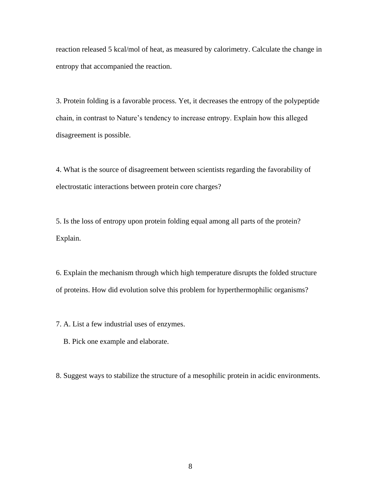reaction released 5 kcal/mol of heat, as measured by calorimetry. Calculate the change in entropy that accompanied the reaction.

3. Protein folding is a favorable process. Yet, it decreases the entropy of the polypeptide chain, in contrast to Nature's tendency to increase entropy. Explain how this alleged disagreement is possible.

4. What is the source of disagreement between scientists regarding the favorability of electrostatic interactions between protein core charges?

5. Is the loss of entropy upon protein folding equal among all parts of the protein? Explain.

6. Explain the mechanism through which high temperature disrupts the folded structure of proteins. How did evolution solve this problem for hyperthermophilic organisms?

7. A. List a few industrial uses of enzymes.

B. Pick one example and elaborate.

8. Suggest ways to stabilize the structure of a mesophilic protein in acidic environments.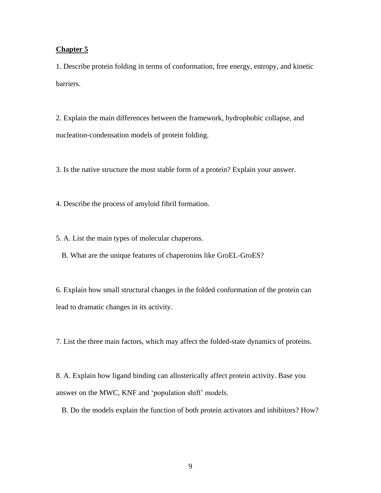## **Chapter 5**

1. Describe protein folding in terms of conformation, free energy, entropy, and kinetic barriers.

2. Explain the main differences between the framework, hydrophobic collapse, and nucleation-condensation models of protein folding.

3. Is the native structure the most stable form of a protein? Explain your answer.

4. Describe the process of amyloid fibril formation.

5. A. List the main types of molecular chaperons.

B. What are the unique features of chaperonins like GroEL-GroES?

6. Explain how small structural changes in the folded conformation of the protein can lead to dramatic changes in its activity.

7. List the three main factors, which may affect the folded-state dynamics of proteins.

8. A. Explain how ligand binding can allosterically affect protein activity. Base you answer on the MWC, KNF and 'population shift' models.

B. Do the models explain the function of both protein activators and inhibitors? How?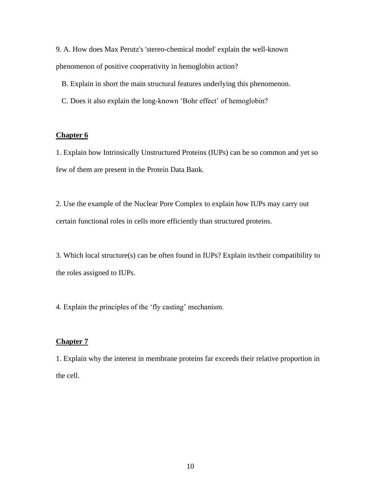9. A. How does Max Perutz's 'stereo-chemical model' explain the well-known phenomenon of positive cooperativity in hemoglobin action?

B. Explain in short the main structural features underlying this phenomenon.

C. Does it also explain the long-known 'Bohr effect' of hemoglobin?

## **Chapter 6**

1. Explain how Intrinsically Unstructured Proteins (IUPs) can be so common and yet so few of them are present in the Protein Data Bank.

2. Use the example of the Nuclear Pore Complex to explain how IUPs may carry out certain functional roles in cells more efficiently than structured proteins.

3. Which local structure(s) can be often found in IUPs? Explain its/their compatibility to the roles assigned to IUPs.

4. Explain the principles of the 'fly casting' mechanism.

## **Chapter 7**

1. Explain why the interest in membrane proteins far exceeds their relative proportion in the cell.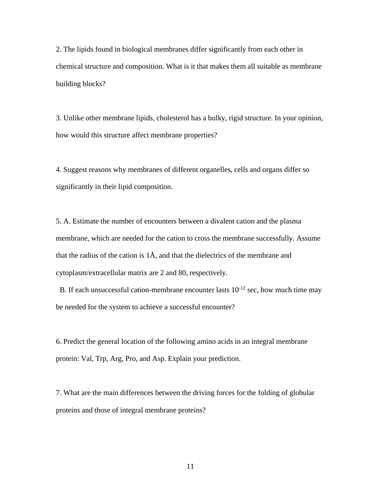2. The lipids found in biological membranes differ significantly from each other in chemical structure and composition. What is it that makes them all suitable as membrane building blocks?

3. Unlike other membrane lipids, cholesterol has a bulky, rigid structure. In your opinion, how would this structure affect membrane properties?

4. Suggest reasons why membranes of different organelles, cells and organs differ so significantly in their lipid composition.

5. A. Estimate the number of encounters between a divalent cation and the plasma membrane, which are needed for the cation to cross the membrane successfully. Assume that the radius of the cation is 1Å, and that the dielectrics of the membrane and cytoplasm/extracellular matrix are 2 and 80, respectively.

B. If each unsuccessful cation-membrane encounter lasts  $10^{-12}$  sec, how much time may be needed for the system to achieve a successful encounter?

6. Predict the general location of the following amino acids in an integral membrane protein: Val, Trp, Arg, Pro, and Asp. Explain your prediction.

7. What are the main differences between the driving forces for the folding of globular proteins and those of integral membrane proteins?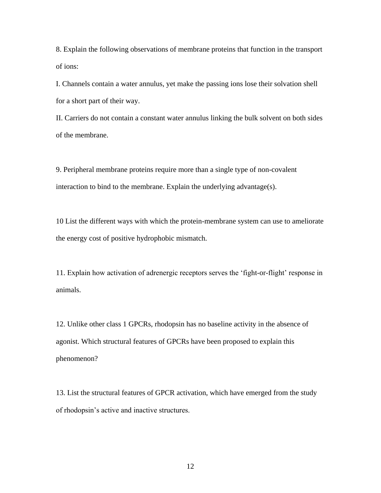8. Explain the following observations of membrane proteins that function in the transport of ions:

I. Channels contain a water annulus, yet make the passing ions lose their solvation shell for a short part of their way.

II. Carriers do not contain a constant water annulus linking the bulk solvent on both sides of the membrane.

9. Peripheral membrane proteins require more than a single type of non-covalent interaction to bind to the membrane. Explain the underlying advantage(s).

10 List the different ways with which the protein-membrane system can use to ameliorate the energy cost of positive hydrophobic mismatch.

11. Explain how activation of adrenergic receptors serves the 'fight-or-flight' response in animals.

12. Unlike other class 1 GPCRs, rhodopsin has no baseline activity in the absence of agonist. Which structural features of GPCRs have been proposed to explain this phenomenon?

13. List the structural features of GPCR activation, which have emerged from the study of rhodopsin's active and inactive structures.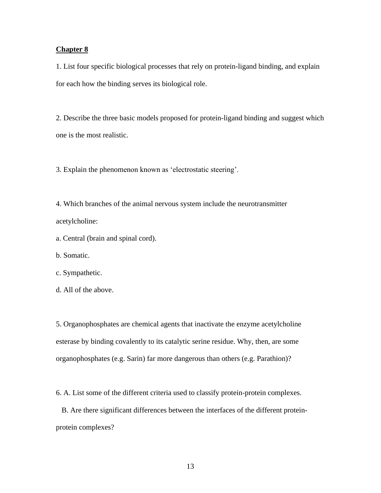## **Chapter 8**

1. List four specific biological processes that rely on protein-ligand binding, and explain for each how the binding serves its biological role.

2. Describe the three basic models proposed for protein-ligand binding and suggest which one is the most realistic.

3. Explain the phenomenon known as 'electrostatic steering'.

4. Which branches of the animal nervous system include the neurotransmitter acetylcholine:

a. Central (brain and spinal cord).

b. Somatic.

#### c. Sympathetic.

d. All of the above.

5. Organophosphates are chemical agents that inactivate the enzyme acetylcholine esterase by binding covalently to its catalytic serine residue. Why, then, are some organophosphates (e.g. Sarin) far more dangerous than others (e.g. Parathion)?

6. A. List some of the different criteria used to classify protein-protein complexes.

 B. Are there significant differences between the interfaces of the different proteinprotein complexes?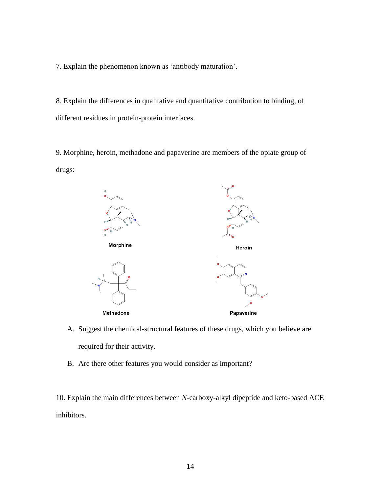7. Explain the phenomenon known as 'antibody maturation'.

8. Explain the differences in qualitative and quantitative contribution to binding, of different residues in protein-protein interfaces.

9. Morphine, heroin, methadone and papaverine are members of the opiate group of drugs:



- A. Suggest the chemical-structural features of these drugs, which you believe are required for their activity.
- B. Are there other features you would consider as important?

10. Explain the main differences between *N*-carboxy-alkyl dipeptide and keto-based ACE inhibitors.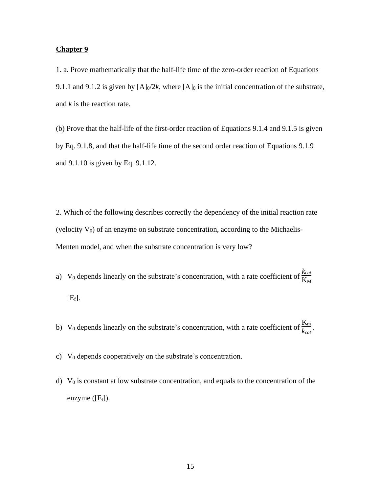## **Chapter 9**

1. a. Prove mathematically that the half-life time of the zero-order reaction of Equations 9.1.1 and 9.1.2 is given by  $[A]_0/2k$ , where  $[A]_0$  is the initial concentration of the substrate, and *k* is the reaction rate.

(b) Prove that the half-life of the first-order reaction of Equations 9.1.4 and 9.1.5 is given by Eq. 9.1.8, and that the half-life time of the second order reaction of Equations 9.1.9 and 9.1.10 is given by Eq. 9.1.12.

2. Which of the following describes correctly the dependency of the initial reaction rate (velocity  $V_0$ ) of an enzyme on substrate concentration, according to the Michaelis-Menten model, and when the substrate concentration is very low?

- a) V<sub>0</sub> depends linearly on the substrate's concentration, with a rate coefficient of  $\frac{k_{cat}}{K_M}$  $[E_f].$
- b) V<sub>0</sub> depends linearly on the substrate's concentration, with a rate coefficient of  $\frac{K_m}{k_{cat}}$ .
- c) V<sup>0</sup> depends cooperatively on the substrate's concentration.
- d)  $V_0$  is constant at low substrate concentration, and equals to the concentration of the enzyme  $([E_t])$ .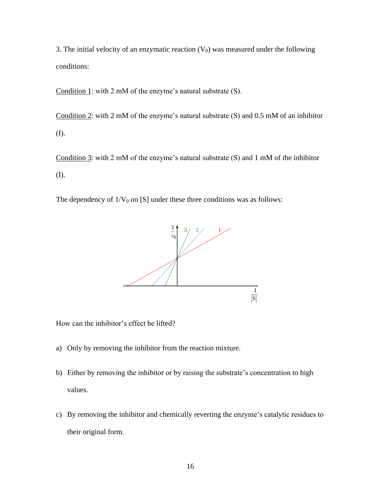3. The initial velocity of an enzymatic reaction  $(V_0)$  was measured under the following conditions:

Condition 1: with 2 mM of the enzyme's natural substrate (S).

Condition 2: with 2 mM of the enzyme's natural substrate (S) and 0.5 mM of an inhibitor (I).

Condition 3: with 2 mM of the enzyme's natural substrate (S) and 1 mM of the inhibitor (I).

The dependency of  $1/V_0$  on [S] under these three conditions was as follows:



How can the inhibitor's effect be lifted?

- a) Only by removing the inhibitor from the reaction mixture.
- b) Either by removing the inhibitor or by raising the substrate's concentration to high values.
- c) By removing the inhibitor and chemically reverting the enzyme's catalytic residues to their original form.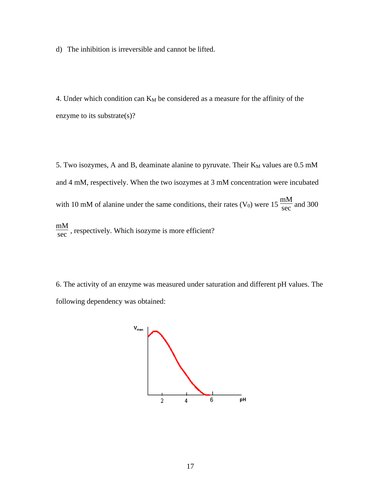d) The inhibition is irreversible and cannot be lifted.

4. Under which condition can  $K_M$  be considered as a measure for the affinity of the enzyme to its substrate(s)?

5. Two isozymes, A and B, deaminate alanine to pyruvate. Their  $K_M$  values are 0.5 mM and 4 mM, respectively. When the two isozymes at 3 mM concentration were incubated with 10 mM of alanine under the same conditions, their rates  $(V_0)$  were 15  $\frac{mM}{sec}$  and 300 mM  $\frac{m}{\sec}$ , respectively. Which isozyme is more efficient?

6. The activity of an enzyme was measured under saturation and different pH values. The following dependency was obtained:

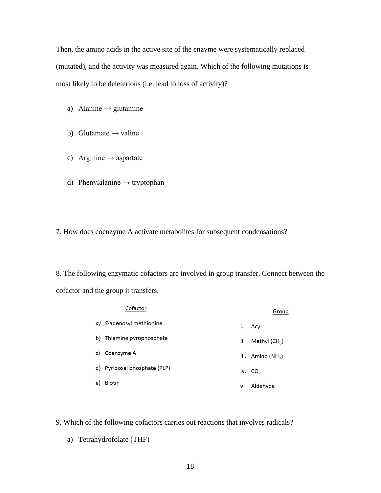Then, the amino acids in the active site of the enzyme were systematically replaced (mutated), and the activity was measured again. Which of the following mutations is most likely to be deleterious (i.e. lead to loss of activity)?

- a) Alanine  $\rightarrow$  glutamine
- b) Glutamate  $\rightarrow$  valine
- c) Arginine  $\rightarrow$  aspartate
- d) Phenylalanine → tryptophan
- 7. How does coenzyme A activate metabolites for subsequent condensations?

8. The following enzymatic cofactors are involved in group transfer. Connect between the cofactor and the group it transfers.

|    | Cofactor                     |     | Group               |
|----|------------------------------|-----|---------------------|
|    | a) S-adenosyl methionine     | i.  | Acyl                |
|    | b) Thiamine pyrophosphate    | ii. | Methyl (CH $_{3}$ ) |
| c) | Coenzyme A                   |     | iii. Amino $(NH2)$  |
|    | d) Pyridoxal phosphate (PLP) |     | iv. $CO2$           |
| e) | Biotin                       | v.  | Aldehyde            |

- 9. Which of the following cofactors carries out reactions that involves radicals?
	- a) Tetrahydrofolate (THF)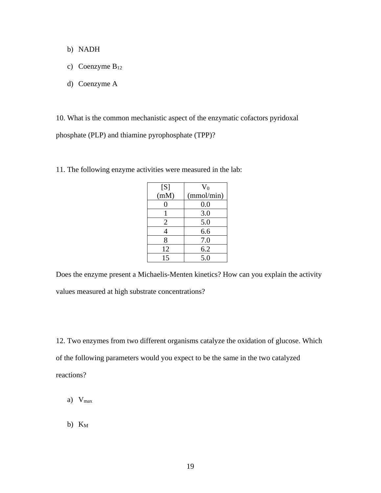- b) NADH
- c) Coenzyme  $B_{12}$
- d) Coenzyme A

10. What is the common mechanistic aspect of the enzymatic cofactors pyridoxal phosphate (PLP) and thiamine pyrophosphate (TPP)?

| [S]  | $V_0$      |
|------|------------|
| (mM) | (mmol/min) |
| 0    | 0.0        |
|      | 3.0        |
| 2    | 5.0        |
| 4    | 6.6        |
| 8    | 7.0        |
| 12   | 6.2        |
| 15   | 5.0        |

11. The following enzyme activities were measured in the lab:

Does the enzyme present a Michaelis-Menten kinetics? How can you explain the activity values measured at high substrate concentrations?

12. Two enzymes from two different organisms catalyze the oxidation of glucose. Which of the following parameters would you expect to be the same in the two catalyzed reactions?

- a) Vmax
- b)  $K_M$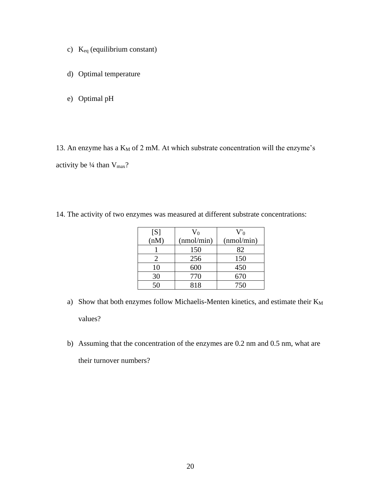- c) Keq (equilibrium constant)
- d) Optimal temperature
- e) Optimal pH

13. An enzyme has a  $K_M$  of 2 mM. At which substrate concentration will the enzyme's activity be  $\frac{1}{4}$  than  $V_{\text{max}}$ ?

14. The activity of two enzymes was measured at different substrate concentrations:

| [S]  | $\rm V_0$  | $V_0$      |
|------|------------|------------|
| (nM) | (mmol/min) | (mmol/min) |
|      | 150        | 82         |
|      | 256        | 150        |
| 10   | 600        | 450        |
| 30   | 770        | 670        |
| 50   | 818        | 750        |

- a) Show that both enzymes follow Michaelis-Menten kinetics, and estimate their  $K_M$ values?
- b) Assuming that the concentration of the enzymes are 0.2 nm and 0.5 nm, what are their turnover numbers?